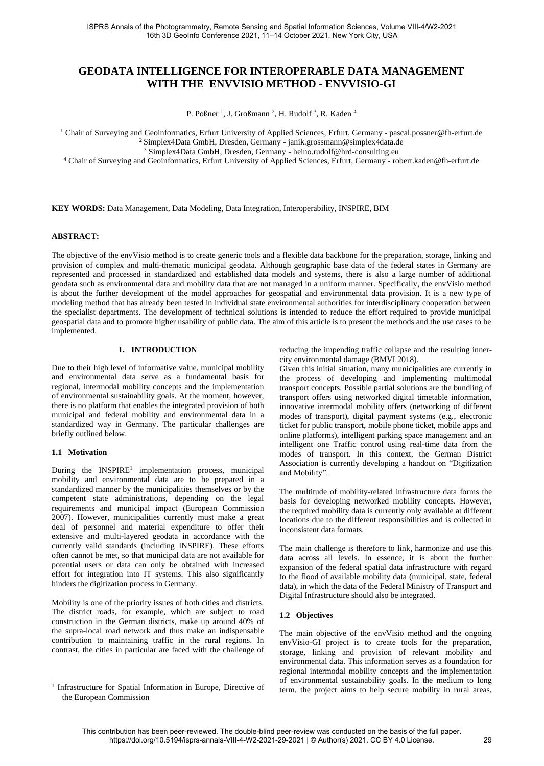# **GEODATA INTELLIGENCE FOR INTEROPERABLE DATA MANAGEMENT WITH THE ENVVISIO METHOD - ENVVISIO-GI**

P. Poßner<sup>1</sup>, J. Großmann<sup>2</sup>, H. Rudolf<sup>3</sup>, R. Kaden<sup>4</sup>

<sup>1</sup> Chair of Surveying and Geoinformatics, Erfurt University of Applied Sciences, Erfurt, Germany - pascal.possner@fh-erfurt.de <sup>2</sup> Simplex4Data GmbH, Dresden, Germany - janik.grossmann@simplex4data.de

<sup>3</sup> Simplex4Data GmbH, Dresden, Germany - heino.rudolf@hrd-consulting.eu

<sup>4</sup> Chair of Surveying and Geoinformatics, Erfurt University of Applied Sciences, Erfurt, Germany - robert.kaden@fh-erfurt.de

**KEY WORDS:** Data Management, Data Modeling, Data Integration, Interoperability, INSPIRE, BIM

#### **ABSTRACT:**

The objective of the envVisio method is to create generic tools and a flexible data backbone for the preparation, storage, linking and provision of complex and multi-thematic municipal geodata. Although geographic base data of the federal states in Germany are represented and processed in standardized and established data models and systems, there is also a large number of additional geodata such as environmental data and mobility data that are not managed in a uniform manner. Specifically, the envVisio method is about the further development of the model approaches for geospatial and environmental data provision. It is a new type of modeling method that has already been tested in individual state environmental authorities for interdisciplinary cooperation between the specialist departments. The development of technical solutions is intended to reduce the effort required to provide municipal geospatial data and to promote higher usability of public data. The aim of this article is to present the methods and the use cases to be implemented.

# **1. INTRODUCTION**

Due to their high level of informative value, municipal mobility and environmental data serve as a fundamental basis for regional, intermodal mobility concepts and the implementation of environmental sustainability goals. At the moment, however, there is no platform that enables the integrated provision of both municipal and federal mobility and environmental data in a standardized way in Germany. The particular challenges are briefly outlined below.

#### **1.1 Motivation**

During the INSPIRE<sup>1</sup> implementation process, municipal mobility and environmental data are to be prepared in a standardized manner by the municipalities themselves or by the competent state administrations, depending on the legal requirements and municipal impact (European Commission 2007). However, municipalities currently must make a great deal of personnel and material expenditure to offer their extensive and multi-layered geodata in accordance with the currently valid standards (including INSPIRE). These efforts often cannot be met, so that municipal data are not available for potential users or data can only be obtained with increased effort for integration into IT systems. This also significantly hinders the digitization process in Germany.

Mobility is one of the priority issues of both cities and districts. The district roads, for example, which are subject to road construction in the German districts, make up around 40% of the supra-local road network and thus make an indispensable contribution to maintaining traffic in the rural regions. In contrast, the cities in particular are faced with the challenge of reducing the impending traffic collapse and the resulting innercity environmental damage (BMVI 2018).

Given this initial situation, many municipalities are currently in the process of developing and implementing multimodal transport concepts. Possible partial solutions are the bundling of transport offers using networked digital timetable information, innovative intermodal mobility offers (networking of different modes of transport), digital payment systems (e.g., electronic ticket for public transport, mobile phone ticket, mobile apps and online platforms), intelligent parking space management and an intelligent one Traffic control using real-time data from the modes of transport. In this context, the German District Association is currently developing a handout on "Digitization and Mobility".

The multitude of mobility-related infrastructure data forms the basis for developing networked mobility concepts. However, the required mobility data is currently only available at different locations due to the different responsibilities and is collected in inconsistent data formats.

The main challenge is therefore to link, harmonize and use this data across all levels. In essence, it is about the further expansion of the federal spatial data infrastructure with regard to the flood of available mobility data (municipal, state, federal data), in which the data of the Federal Ministry of Transport and Digital Infrastructure should also be integrated.

#### **1.2 Objectives**

The main objective of the envVisio method and the ongoing envVisio-GI project is to create tools for the preparation, storage, linking and provision of relevant mobility and environmental data. This information serves as a foundation for regional intermodal mobility concepts and the implementation of environmental sustainability goals. In the medium to long term, the project aims to help secure mobility in rural areas,

<sup>&</sup>lt;sup>1</sup> Infrastructure for Spatial Information in Europe, Directive of the European Commission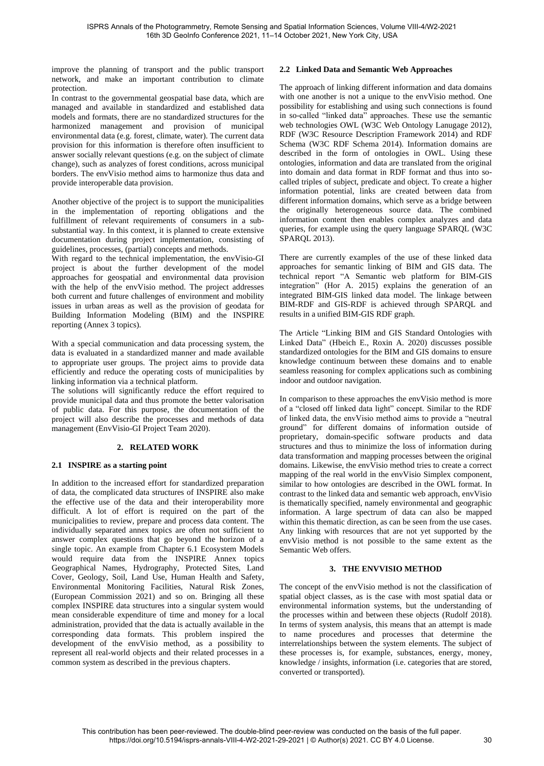improve the planning of transport and the public transport network, and make an important contribution to climate protection.

In contrast to the governmental geospatial base data, which are managed and available in standardized and established data models and formats, there are no standardized structures for the harmonized management and provision of municipal environmental data (e.g. forest, climate, water). The current data provision for this information is therefore often insufficient to answer socially relevant questions (e.g. on the subject of climate change), such as analyzes of forest conditions, across municipal borders. The envVisio method aims to harmonize thus data and provide interoperable data provision.

Another objective of the project is to support the municipalities in the implementation of reporting obligations and the fulfillment of relevant requirements of consumers in a subsubstantial way. In this context, it is planned to create extensive documentation during project implementation, consisting of guidelines, processes, (partial) concepts and methods.

With regard to the technical implementation, the envVisio-GI project is about the further development of the model approaches for geospatial and environmental data provision with the help of the envVisio method. The project addresses both current and future challenges of environment and mobility issues in urban areas as well as the provision of geodata for Building Information Modeling (BIM) and the INSPIRE reporting (Annex 3 topics).

With a special communication and data processing system, the data is evaluated in a standardized manner and made available to appropriate user groups. The project aims to provide data efficiently and reduce the operating costs of municipalities by linking information via a technical platform.

The solutions will significantly reduce the effort required to provide municipal data and thus promote the better valorisation of public data. For this purpose, the documentation of the project will also describe the processes and methods of data management (EnvVisio-GI Project Team 2020).

# **2. RELATED WORK**

## **2.1 INSPIRE as a starting point**

In addition to the increased effort for standardized preparation of data, the complicated data structures of INSPIRE also make the effective use of the data and their interoperability more difficult. A lot of effort is required on the part of the municipalities to review, prepare and process data content. The individually separated annex topics are often not sufficient to answer complex questions that go beyond the horizon of a single topic. An example from Chapter 6.1 Ecosystem Models would require data from the INSPIRE Annex topics Geographical Names, Hydrography, Protected Sites, Land Cover, Geology, Soil, Land Use, Human Health and Safety, Environmental Monitoring Facilities, Natural Risk Zones, (European Commission 2021) and so on. Bringing all these complex INSPIRE data structures into a singular system would mean considerable expenditure of time and money for a local administration, provided that the data is actually available in the corresponding data formats. This problem inspired the development of the envVisio method, as a possibility to represent all real-world objects and their related processes in a common system as described in the previous chapters.

# **2.2 Linked Data and Semantic Web Approaches**

The approach of linking different information and data domains with one another is not a unique to the envVisio method. One possibility for establishing and using such connections is found in so-called "linked data" approaches. These use the semantic web technologies OWL (W3C Web Ontology Lanugage 2012), RDF (W3C Resource Description Framework 2014) and RDF Schema (W3C RDF Schema 2014). Information domains are described in the form of ontologies in OWL. Using these ontologies, information and data are translated from the original into domain and data format in RDF format and thus into socalled triples of subject, predicate and object. To create a higher information potential, links are created between data from different information domains, which serve as a bridge between the originally heterogeneous source data. The combined information content then enables complex analyzes and data queries, for example using the query language SPARQL (W3C SPARQL 2013).

There are currently examples of the use of these linked data approaches for semantic linking of BIM and GIS data. The technical report "A Semantic web platform for BIM-GIS integration" (Hor A. 2015) explains the generation of an integrated BIM-GIS linked data model. The linkage between BIM-RDF and GIS-RDF is achieved through SPARQL and results in a unified BIM-GIS RDF graph.

The Article "Linking BIM and GIS Standard Ontologies with Linked Data" (Hbeich E., Roxin A. 2020) discusses possible standardized ontologies for the BIM and GIS domains to ensure knowledge continuum between these domains and to enable seamless reasoning for complex applications such as combining indoor and outdoor navigation.

In comparison to these approaches the envVisio method is more of a "closed off linked data light" concept. Similar to the RDF of linked data, the envVisio method aims to provide a "neutral ground" for different domains of information outside of proprietary, domain-specific software products and data structures and thus to minimize the loss of information during data transformation and mapping processes between the original domains. Likewise, the envVisio method tries to create a correct mapping of the real world in the envVisio Simplex component, similar to how ontologies are described in the OWL format. In contrast to the linked data and semantic web approach, envVisio is thematically specified, namely environmental and geographic information. A large spectrum of data can also be mapped within this thematic direction, as can be seen from the use cases. Any linking with resources that are not yet supported by the envVisio method is not possible to the same extent as the Semantic Web offers.

## **3. THE ENVVISIO METHOD**

The concept of the envVisio method is not the classification of spatial object classes, as is the case with most spatial data or environmental information systems, but the understanding of the processes within and between these objects (Rudolf 2018). In terms of system analysis, this means that an attempt is made to name procedures and processes that determine the interrelationships between the system elements. The subject of these processes is, for example, substances, energy, money, knowledge / insights, information (i.e. categories that are stored, converted or transported).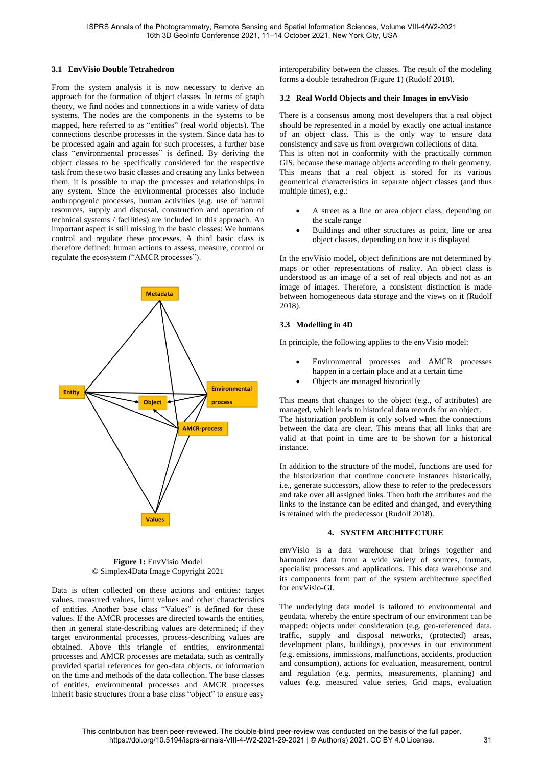# **3.1 EnvVisio Double Tetrahedron**

From the system analysis it is now necessary to derive an approach for the formation of object classes. In terms of graph theory, we find nodes and connections in a wide variety of data systems. The nodes are the components in the systems to be mapped, here referred to as "entities" (real world objects). The connections describe processes in the system. Since data has to be processed again and again for such processes, a further base class "environmental processes" is defined. By deriving the object classes to be specifically considered for the respective task from these two basic classes and creating any links between them, it is possible to map the processes and relationships in any system. Since the environmental processes also include anthropogenic processes, human activities (e.g. use of natural resources, supply and disposal, construction and operation of technical systems / facilities) are included in this approach. An important aspect is still missing in the basic classes: We humans control and regulate these processes. A third basic class is therefore defined: human actions to assess, measure, control or regulate the ecosystem ("AMCR processes").



## **Figure 1: EnvVisio Model** © Simplex4Data Image Copyright 2021

Data is often collected on these actions and entities: target values, measured values, limit values and other characteristics of entities. Another base class "Values" is defined for these values. If the AMCR processes are directed towards the entities, then in general state-describing values are determined; if they target environmental processes, process-describing values are obtained. Above this triangle of entities, environmental processes and AMCR processes are metadata, such as centrally provided spatial references for geo-data objects, or information on the time and methods of the data collection. The base classes of entities, environmental processes and AMCR processes inherit basic structures from a base class "object" to ensure easy

interoperability between the classes. The result of the modeling forms a double tetrahedron (Figure 1) (Rudolf 2018).

## **3.2 Real World Objects and their Images in envVisio**

There is a consensus among most developers that a real object should be represented in a model by exactly one actual instance of an object class. This is the only way to ensure data consistency and save us from overgrown collections of data. This is often not in conformity with the practically common GIS, because these manage objects according to their geometry. This means that a real object is stored for its various geometrical characteristics in separate object classes (and thus multiple times), e.g.:

- A street as a line or area object class, depending on the scale range
- Buildings and other structures as point, line or area object classes, depending on how it is displayed

In the envVisio model, object definitions are not determined by maps or other representations of reality. An object class is understood as an image of a set of real objects and not as an image of images. Therefore, a consistent distinction is made between homogeneous data storage and the views on it (Rudolf 2018).

## **3.3 Modelling in 4D**

In principle, the following applies to the envVisio model:

- Environmental processes and AMCR processes happen in a certain place and at a certain time
- Objects are managed historically

This means that changes to the object (e.g., of attributes) are managed, which leads to historical data records for an object. The historization problem is only solved when the connections between the data are clear. This means that all links that are valid at that point in time are to be shown for a historical instance.

In addition to the structure of the model, functions are used for the historization that continue concrete instances historically, i.e., generate successors, allow these to refer to the predecessors and take over all assigned links. Then both the attributes and the links to the instance can be edited and changed, and everything is retained with the predecessor (Rudolf 2018).

## **4. SYSTEM ARCHITECTURE**

envVisio is a data warehouse that brings together and harmonizes data from a wide variety of sources, formats, specialist processes and applications. This data warehouse and its components form part of the system architecture specified for envVisio-GI.

The underlying data model is tailored to environmental and geodata, whereby the entire spectrum of our environment can be mapped: objects under consideration (e.g. geo-referenced data, traffic, supply and disposal networks, (protected) areas, development plans, buildings), processes in our environment (e.g. emissions, immissions, malfunctions, accidents, production and consumption), actions for evaluation, measurement, control and regulation (e.g. permits, measurements, planning) and values (e.g. measured value series, Grid maps, evaluation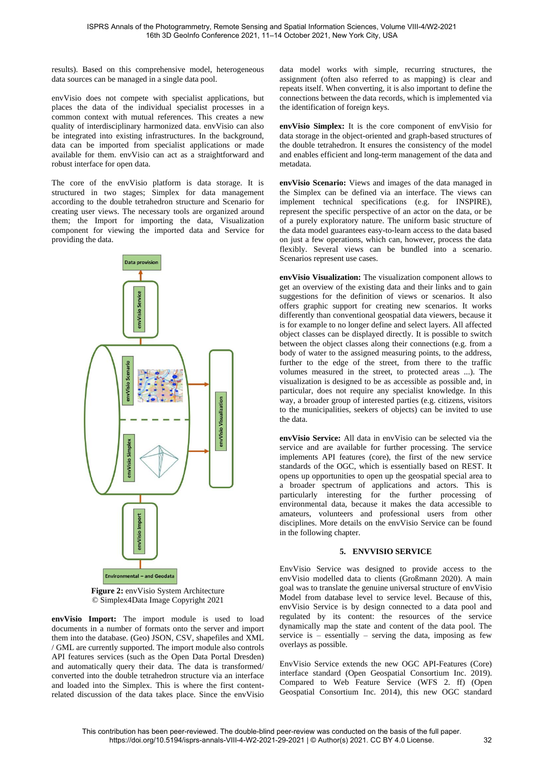results). Based on this comprehensive model, heterogeneous data sources can be managed in a single data pool.

envVisio does not compete with specialist applications, but places the data of the individual specialist processes in a common context with mutual references. This creates a new quality of interdisciplinary harmonized data. envVisio can also be integrated into existing infrastructures. In the background, data can be imported from specialist applications or made available for them. envVisio can act as a straightforward and robust interface for open data.

The core of the envVisio platform is data storage. It is structured in two stages; Simplex for data management according to the double tetrahedron structure and Scenario for creating user views. The necessary tools are organized around them; the Import for importing the data, Visualization component for viewing the imported data and Service for providing the data.



**Figure 2:** envVisio System Architecture © Simplex4Data Image Copyright 2021

**envVisio Import:** The import module is used to load documents in a number of formats onto the server and import them into the database. (Geo) JSON, CSV, shapefiles and XML / GML are currently supported. The import module also controls API features services (such as the Open Data Portal Dresden) and automatically query their data. The data is transformed/ converted into the double tetrahedron structure via an interface and loaded into the Simplex. This is where the first contentrelated discussion of the data takes place. Since the envVisio

data model works with simple, recurring structures, the assignment (often also referred to as mapping) is clear and repeats itself. When converting, it is also important to define the connections between the data records, which is implemented via the identification of foreign keys.

**envVisio Simplex:** It is the core component of envVisio for data storage in the object-oriented and graph-based structures of the double tetrahedron. It ensures the consistency of the model and enables efficient and long-term management of the data and metadata.

**envVisio Scenario:** Views and images of the data managed in the Simplex can be defined via an interface. The views can implement technical specifications (e.g. for INSPIRE), represent the specific perspective of an actor on the data, or be of a purely exploratory nature. The uniform basic structure of the data model guarantees easy-to-learn access to the data based on just a few operations, which can, however, process the data flexibly. Several views can be bundled into a scenario. Scenarios represent use cases.

**envVisio Visualization:** The visualization component allows to get an overview of the existing data and their links and to gain suggestions for the definition of views or scenarios. It also offers graphic support for creating new scenarios. It works differently than conventional geospatial data viewers, because it is for example to no longer define and select layers. All affected object classes can be displayed directly. It is possible to switch between the object classes along their connections (e.g. from a body of water to the assigned measuring points, to the address, further to the edge of the street, from there to the traffic volumes measured in the street, to protected areas ...). The visualization is designed to be as accessible as possible and, in particular, does not require any specialist knowledge. In this way, a broader group of interested parties (e.g. citizens, visitors to the municipalities, seekers of objects) can be invited to use the data.

**envVisio Service:** All data in envVisio can be selected via the service and are available for further processing. The service implements API features (core), the first of the new service standards of the OGC, which is essentially based on REST. It opens up opportunities to open up the geospatial special area to a broader spectrum of applications and actors. This is particularly interesting for the further processing of environmental data, because it makes the data accessible to amateurs, volunteers and professional users from other disciplines. More details on the envVisio Service can be found in the following chapter.

## **5. ENVVISIO SERVICE**

EnvVisio Service was designed to provide access to the envVisio modelled data to clients (Großmann 2020). A main goal was to translate the genuine universal structure of envVisio Model from database level to service level. Because of this, envVisio Service is by design connected to a data pool and regulated by its content: the resources of the service dynamically map the state and content of the data pool. The service is – essentially – serving the data, imposing as few overlays as possible.

EnvVisio Service extends the new OGC API-Features (Core) interface standard (Open Geospatial Consortium Inc. 2019). Compared to Web Feature Service (WFS 2. ff) (Open Geospatial Consortium Inc. 2014), this new OGC standard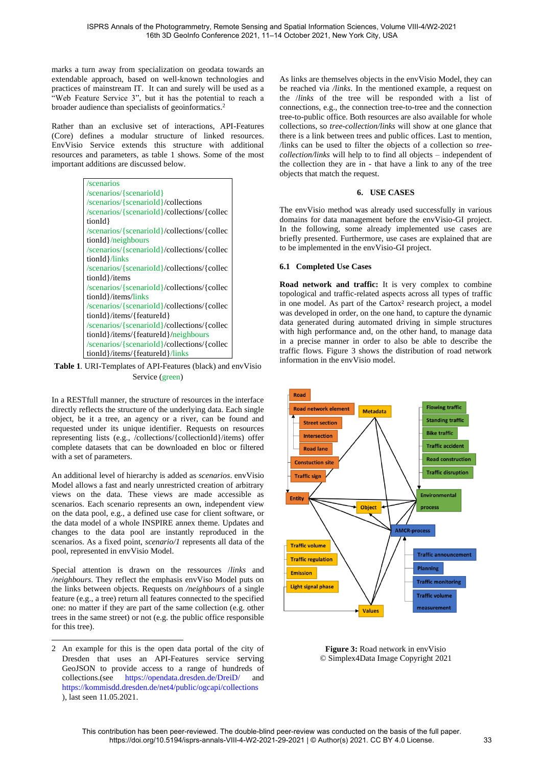marks a turn away from specialization on geodata towards an extendable approach, based on well-known technologies and practices of mainstream IT. It can and surely will be used as a "Web Feature Service 3", but it has the potential to reach a broader audience than specialists of geoinformatics. 2

Rather than an exclusive set of interactions, API-Features (Core) defines a modular structure of linked resources. EnvVisio Service extends this structure with additional resources and parameters, as table 1 shows. Some of the most important additions are discussed below.

> /scenarios /scenarios/{scenarioId} /scenarios/{scenarioId}/collections /scenarios/{scenarioId}/collections/{collec tionId} /scenarios/{scenarioId}/collections/{collec tionId}/neighbours /scenarios/{scenarioId}/collections/{collec tionId}/links /scenarios/{scenarioId}/collections/{collec tionId}/items /scenarios/{scenarioId}/collections/{collec tionId}/items/links /scenarios/{scenarioId}/collections/{collec tionId}/items/{featureId} /scenarios/{scenarioId}/collections/{collec tionId}/items/{featureId}/neighbours /scenarios/{scenarioId}/collections/{collec tionId}/items/{featureId}/links

**Table 1**. URI-Templates of API-Features (black) and envVisio Service (green)

In a RESTfull manner, the structure of resources in the interface directly reflects the structure of the underlying data. Each single object, be it a tree, an agency or a river, can be found and requested under its unique identifier. Requests on resources representing lists (e.g., /collections/{collectionId}/items) offer complete datasets that can be downloaded en bloc or filtered with a set of parameters.

An additional level of hierarchy is added as *scenarios*. envVisio Model allows a fast and nearly unrestricted creation of arbitrary views on the data. These views are made accessible as scenarios. Each scenario represents an own, independent view on the data pool, e.g., a defined use case for client software, or the data model of a whole INSPIRE annex theme. Updates and changes to the data pool are instantly reproduced in the scenarios. As a fixed point, *scenario/1* represents all data of the pool, represented in envVisio Model.

Special attention is drawn on the ressources /*links* and */neighbours*. They reflect the emphasis envViso Model puts on the links between objects. Requests on */neighbours* of a single feature (e.g., a tree) return all features connected to the specified one: no matter if they are part of the same collection (e.g. other trees in the same street) or not (e.g. the public office responsible for this tree).

As links are themselves objects in the envVisio Model, they can be reached via */links*. In the mentioned example, a request on the /*links* of the tree will be responded with a list of connections, e.g., the connection tree-to-tree and the connection tree-to-public office. Both resources are also available for whole collections, so *tree-collection/links* will show at one glance that there is a link between trees and public offices. Last to mention, /links can be used to filter the objects of a collection so *treecollection/links* will help to to find all objects – independent of the collection they are in - that have a link to any of the tree objects that match the request.

# **6. USE CASES**

The envVisio method was already used successfully in various domains for data management before the envVisio-GI project. In the following, some already implemented use cases are briefly presented. Furthermore, use cases are explained that are to be implemented in the envVisio-GI project.

# **6.1 Completed Use Cases**

**Road network and traffic:** It is very complex to combine topological and traffic-related aspects across all types of traffic in one model. As part of the Cartox<sup>2</sup> research project, a model was developed in order, on the one hand, to capture the dynamic data generated during automated driving in simple structures with high performance and, on the other hand, to manage data in a precise manner in order to also be able to describe the traffic flows. Figure 3 shows the distribution of road network information in the envVisio model.



**Figure 3: Road network in envVisio** © Simplex4Data Image Copyright 2021

<sup>2</sup> An example for this is the open data portal of the city of Dresden that uses an API-Features service serving GeoJSON to provide access to a range of hundreds of collections.(see <https://opendata.dresden.de/DreiD/> and <https://kommisdd.dresden.de/net4/public/ogcapi/collections> ), last seen 11.05.2021.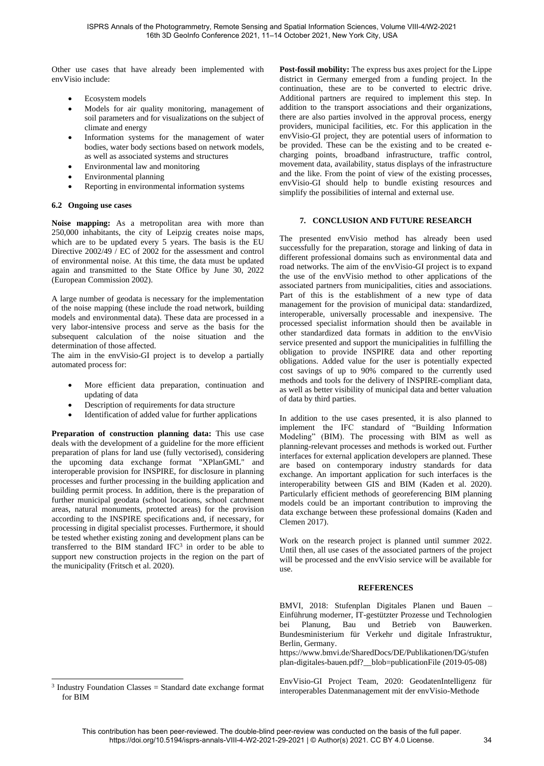Other use cases that have already been implemented with envVisio include:

- Ecosystem models
- Models for air quality monitoring, management of soil parameters and for visualizations on the subject of climate and energy
- Information systems for the management of water bodies, water body sections based on network models, as well as associated systems and structures
- Environmental law and monitoring
- Environmental planning
- Reporting in environmental information systems

## **6.2 Ongoing use cases**

**Noise mapping:** As a metropolitan area with more than 250,000 inhabitants, the city of Leipzig creates noise maps, which are to be updated every 5 years. The basis is the EU Directive 2002/49 / EC of 2002 for the assessment and control of environmental noise. At this time, the data must be updated again and transmitted to the State Office by June 30, 2022 (European Commission 2002).

A large number of geodata is necessary for the implementation of the noise mapping (these include the road network, building models and environmental data). These data are processed in a very labor-intensive process and serve as the basis for the subsequent calculation of the noise situation and the determination of those affected.

The aim in the envVisio-GI project is to develop a partially automated process for:

- More efficient data preparation, continuation and updating of data
- Description of requirements for data structure
- Identification of added value for further applications

**Preparation of construction planning data:** This use case deals with the development of a guideline for the more efficient preparation of plans for land use (fully vectorised), considering the upcoming data exchange format "XPlanGML" and interoperable provision for INSPIRE, for disclosure in planning processes and further processing in the building application and building permit process. In addition, there is the preparation of further municipal geodata (school locations, school catchment areas, natural monuments, protected areas) for the provision according to the INSPIRE specifications and, if necessary, for processing in digital specialist processes. Furthermore, it should be tested whether existing zoning and development plans can be transferred to the BIM standard  $IFC<sup>3</sup>$  in order to be able to support new construction projects in the region on the part of the municipality (Fritsch et al. 2020).

 $3$  Industry Foundation Classes = Standard date exchange format for BIM

**Post-fossil mobility:** The express bus axes project for the Lippe district in Germany emerged from a funding project. In the continuation, these are to be converted to electric drive. Additional partners are required to implement this step. In addition to the transport associations and their organizations, there are also parties involved in the approval process, energy providers, municipal facilities, etc. For this application in the envVisio-GI project, they are potential users of information to be provided. These can be the existing and to be created echarging points, broadband infrastructure, traffic control, movement data, availability, status displays of the infrastructure and the like. From the point of view of the existing processes, envVisio-GI should help to bundle existing resources and simplify the possibilities of internal and external use.

# **7. CONCLUSION AND FUTURE RESEARCH**

The presented envVisio method has already been used successfully for the preparation, storage and linking of data in different professional domains such as environmental data and road networks. The aim of the envVisio-GI project is to expand the use of the envVisio method to other applications of the associated partners from municipalities, cities and associations. Part of this is the establishment of a new type of data management for the provision of municipal data: standardized, interoperable, universally processable and inexpensive. The processed specialist information should then be available in other standardized data formats in addition to the envVisio service presented and support the municipalities in fulfilling the obligation to provide INSPIRE data and other reporting obligations. Added value for the user is potentially expected cost savings of up to 90% compared to the currently used methods and tools for the delivery of INSPIRE-compliant data, as well as better visibility of municipal data and better valuation of data by third parties.

In addition to the use cases presented, it is also planned to implement the IFC standard of "Building Information Modeling" (BIM). The processing with BIM as well as planning-relevant processes and methods is worked out. Further interfaces for external application developers are planned. These are based on contemporary industry standards for data exchange. An important application for such interfaces is the interoperability between GIS and BIM (Kaden et al. 2020). Particularly efficient methods of georeferencing BIM planning models could be an important contribution to improving the data exchange between these professional domains (Kaden and Clemen 2017).

Work on the research project is planned until summer 2022. Until then, all use cases of the associated partners of the project will be processed and the envVisio service will be available for use.

## **REFERENCES**

BMVI, 2018: Stufenplan Digitales Planen und Bauen – Einführung moderner, IT-gestützter Prozesse und Technologien bei Planung, Bau und Betrieb von Bauwerken. Bundesministerium für Verkehr und digitale Infrastruktur, Berlin, Germany.

https://www.bmvi.de/SharedDocs/DE/Publikationen/DG/stufen plan-digitales-bauen.pdf?\_\_blob=publicationFile (2019-05-08)

EnvVisio-GI Project Team, 2020: GeodatenIntelligenz für interoperables Datenmanagement mit der envVisio-Methode